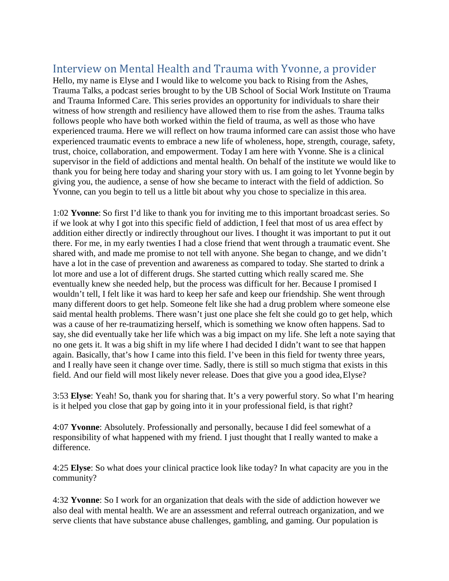## Interview on Mental Health and Trauma with Yvonne, a provider

Hello, my name is Elyse and I would like to welcome you back to Rising from the Ashes, Trauma Talks, a podcast series brought to by the UB School of Social Work Institute on Trauma and Trauma Informed Care. This series provides an opportunity for individuals to share their witness of how strength and resiliency have allowed them to rise from the ashes. Trauma talks follows people who have both worked within the field of trauma, as well as those who have experienced trauma. Here we will reflect on how trauma informed care can assist those who have experienced traumatic events to embrace a new life of wholeness, hope, strength, courage, safety, trust, choice, collaboration, and empowerment. Today I am here with Yvonne. She is a clinical supervisor in the field of addictions and mental health. On behalf of the institute we would like to thank you for being here today and sharing your story with us. I am going to let Yvonne begin by giving you, the audience, a sense of how she became to interact with the field of addiction. So Yvonne, can you begin to tell us a little bit about why you chose to specialize in this area.

1:02 **Yvonne**: So first I'd like to thank you for inviting me to this important broadcast series. So if we look at why I got into this specific field of addiction, I feel that most of us area effect by addition either directly or indirectly throughout our lives. I thought it was important to put it out there. For me, in my early twenties I had a close friend that went through a traumatic event. She shared with, and made me promise to not tell with anyone. She began to change, and we didn't have a lot in the case of prevention and awareness as compared to today. She started to drink a lot more and use a lot of different drugs. She started cutting which really scared me. She eventually knew she needed help, but the process was difficult for her. Because I promised I wouldn't tell, I felt like it was hard to keep her safe and keep our friendship. She went through many different doors to get help. Someone felt like she had a drug problem where someone else said mental health problems. There wasn't just one place she felt she could go to get help, which was a cause of her re-traumatizing herself, which is something we know often happens. Sad to say, she did eventually take her life which was a big impact on my life. She left a note saying that no one gets it. It was a big shift in my life where I had decided I didn't want to see that happen again. Basically, that's how I came into this field. I've been in this field for twenty three years, and I really have seen it change over time. Sadly, there is still so much stigma that exists in this field. And our field will most likely never release. Does that give you a good idea, Elyse?

3:53 **Elyse**: Yeah! So, thank you for sharing that. It's a very powerful story. So what I'm hearing is it helped you close that gap by going into it in your professional field, is that right?

4:07 **Yvonne**: Absolutely. Professionally and personally, because I did feel somewhat of a responsibility of what happened with my friend. I just thought that I really wanted to make a difference.

4:25 **Elyse**: So what does your clinical practice look like today? In what capacity are you in the community?

4:32 **Yvonne**: So I work for an organization that deals with the side of addiction however we also deal with mental health. We are an assessment and referral outreach organization, and we serve clients that have substance abuse challenges, gambling, and gaming. Our population is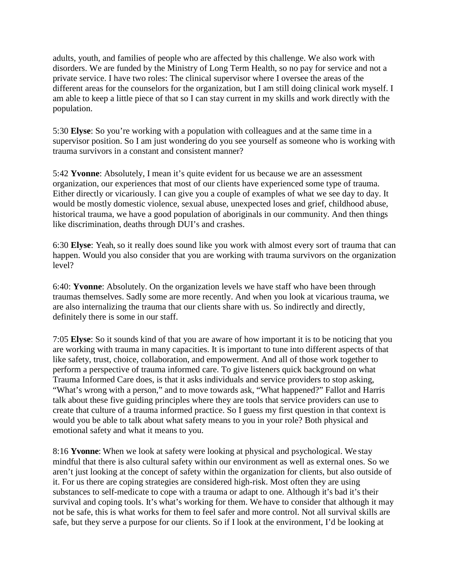adults, youth, and families of people who are affected by this challenge. We also work with disorders. We are funded by the Ministry of Long Term Health, so no pay for service and not a private service. I have two roles: The clinical supervisor where I oversee the areas of the different areas for the counselors for the organization, but I am still doing clinical work myself. I am able to keep a little piece of that so I can stay current in my skills and work directly with the population.

5:30 **Elyse**: So you're working with a population with colleagues and at the same time in a supervisor position. So I am just wondering do you see yourself as someone who is working with trauma survivors in a constant and consistent manner?

5:42 **Yvonne**: Absolutely, I mean it's quite evident for us because we are an assessment organization, our experiences that most of our clients have experienced some type of trauma. Either directly or vicariously. I can give you a couple of examples of what we see day to day. It would be mostly domestic violence, sexual abuse, unexpected loses and grief, childhood abuse, historical trauma, we have a good population of aboriginals in our community. And then things like discrimination, deaths through DUI's and crashes.

6:30 **Elyse**: Yeah, so it really does sound like you work with almost every sort of trauma that can happen. Would you also consider that you are working with trauma survivors on the organization level?

6:40: **Yvonne**: Absolutely. On the organization levels we have staff who have been through traumas themselves. Sadly some are more recently. And when you look at vicarious trauma, we are also internalizing the trauma that our clients share with us. So indirectly and directly, definitely there is some in our staff.

7:05 **Elyse**: So it sounds kind of that you are aware of how important it is to be noticing that you are working with trauma in many capacities. It is important to tune into different aspects of that like safety, trust, choice, collaboration, and empowerment. And all of those work together to perform a perspective of trauma informed care. To give listeners quick background on what Trauma Informed Care does, is that it asks individuals and service providers to stop asking, "What's wrong with a person," and to move towards ask, "What happened?" Fallot and Harris talk about these five guiding principles where they are tools that service providers can use to create that culture of a trauma informed practice. So I guess my first question in that context is would you be able to talk about what safety means to you in your role? Both physical and emotional safety and what it means to you.

8:16 **Yvonne**: When we look at safety were looking at physical and psychological. We stay mindful that there is also cultural safety within our environment as well as external ones. So we aren't just looking at the concept of safety within the organization for clients, but also outside of it. For us there are coping strategies are considered high-risk. Most often they are using substances to self-medicate to cope with a trauma or adapt to one. Although it's bad it's their survival and coping tools. It's what's working for them. We have to consider that although it may not be safe, this is what works for them to feel safer and more control. Not all survival skills are safe, but they serve a purpose for our clients. So if I look at the environment, I'd be looking at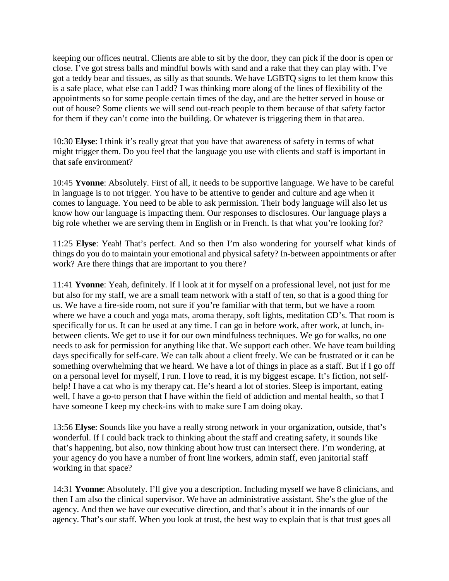keeping our offices neutral. Clients are able to sit by the door, they can pick if the door is open or close. I've got stress balls and mindful bowls with sand and a rake that they can play with. I've got a teddy bear and tissues, as silly as that sounds. We have LGBTQ signs to let them know this is a safe place, what else can I add? I was thinking more along of the lines of flexibility of the appointments so for some people certain times of the day, and are the better served in house or out of house? Some clients we will send out-reach people to them because of that safety factor for them if they can't come into the building. Or whatever is triggering them in that area.

10:30 **Elyse**: I think it's really great that you have that awareness of safety in terms of what might trigger them. Do you feel that the language you use with clients and staff is important in that safe environment?

10:45 **Yvonne**: Absolutely. First of all, it needs to be supportive language. We have to be careful in language is to not trigger. You have to be attentive to gender and culture and age when it comes to language. You need to be able to ask permission. Their body language will also let us know how our language is impacting them. Our responses to disclosures. Our language plays a big role whether we are serving them in English or in French. Is that what you're looking for?

11:25 **Elyse**: Yeah! That's perfect. And so then I'm also wondering for yourself what kinds of things do you do to maintain your emotional and physical safety? In-between appointments or after work? Are there things that are important to you there?

11:41 **Yvonne**: Yeah, definitely. If I look at it for myself on a professional level, not just for me but also for my staff, we are a small team network with a staff of ten, so that is a good thing for us. We have a fire-side room, not sure if you're familiar with that term, but we have a room where we have a couch and yoga mats, aroma therapy, soft lights, meditation CD's. That room is specifically for us. It can be used at any time. I can go in before work, after work, at lunch, inbetween clients. We get to use it for our own mindfulness techniques. We go for walks, no one needs to ask for permission for anything like that. We support each other. We have team building days specifically for self-care. We can talk about a client freely. We can be frustrated or it can be something overwhelming that we heard. We have a lot of things in place as a staff. But if I go off on a personal level for myself, I run. I love to read, it is my biggest escape. It's fiction, not selfhelp! I have a cat who is my therapy cat. He's heard a lot of stories. Sleep is important, eating well, I have a go-to person that I have within the field of addiction and mental health, so that I have someone I keep my check-ins with to make sure I am doing okay.

13:56 **Elyse**: Sounds like you have a really strong network in your organization, outside, that's wonderful. If I could back track to thinking about the staff and creating safety, it sounds like that's happening, but also, now thinking about how trust can intersect there. I'm wondering, at your agency do you have a number of front line workers, admin staff, even janitorial staff working in that space?

14:31 **Yvonne**: Absolutely. I'll give you a description. Including myself we have 8 clinicians, and then I am also the clinical supervisor. We have an administrative assistant. She's the glue of the agency. And then we have our executive direction, and that's about it in the innards of our agency. That's our staff. When you look at trust, the best way to explain that is that trust goes all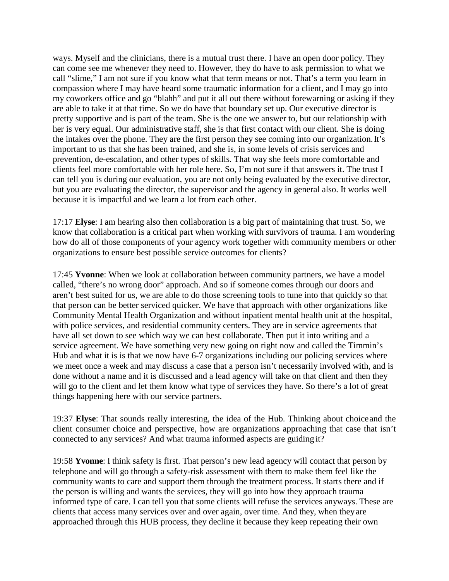ways. Myself and the clinicians, there is a mutual trust there. I have an open door policy. They can come see me whenever they need to. However, they do have to ask permission to what we call "slime," I am not sure if you know what that term means or not. That's a term you learn in compassion where I may have heard some traumatic information for a client, and I may go into my coworkers office and go "blahh" and put it all out there without forewarning or asking if they are able to take it at that time. So we do have that boundary set up. Our executive director is pretty supportive and is part of the team. She is the one we answer to, but our relationship with her is very equal. Our administrative staff, she is that first contact with our client. She is doing the intakes over the phone. They are the first person they see coming into our organization. It's important to us that she has been trained, and she is, in some levels of crisis services and prevention, de-escalation, and other types of skills. That way she feels more comfortable and clients feel more comfortable with her role here. So, I'm not sure if that answers it. The trust I can tell you is during our evaluation, you are not only being evaluated by the executive director, but you are evaluating the director, the supervisor and the agency in general also. It works well because it is impactful and we learn a lot from each other.

17:17 **Elyse**: I am hearing also then collaboration is a big part of maintaining that trust. So, we know that collaboration is a critical part when working with survivors of trauma. I am wondering how do all of those components of your agency work together with community members or other organizations to ensure best possible service outcomes for clients?

17:45 **Yvonne**: When we look at collaboration between community partners, we have a model called, "there's no wrong door" approach. And so if someone comes through our doors and aren't best suited for us, we are able to do those screening tools to tune into that quickly so that that person can be better serviced quicker. We have that approach with other organizations like Community Mental Health Organization and without inpatient mental health unit at the hospital, with police services, and residential community centers. They are in service agreements that have all set down to see which way we can best collaborate. Then put it into writing and a service agreement. We have something very new going on right now and called the Timmin's Hub and what it is is that we now have 6-7 organizations including our policing services where we meet once a week and may discuss a case that a person isn't necessarily involved with, and is done without a name and it is discussed and a lead agency will take on that client and then they will go to the client and let them know what type of services they have. So there's a lot of great things happening here with our service partners.

19:37 **Elyse**: That sounds really interesting, the idea of the Hub. Thinking about choiceand the client consumer choice and perspective, how are organizations approaching that case that isn't connected to any services? And what trauma informed aspects are guiding it?

19:58 **Yvonne**: I think safety is first. That person's new lead agency will contact that person by telephone and will go through a safety-risk assessment with them to make them feel like the community wants to care and support them through the treatment process. It starts there and if the person is willing and wants the services, they will go into how they approach trauma informed type of care. I can tell you that some clients will refuse the services anyways. These are clients that access many services over and over again, over time. And they, when they are approached through this HUB process, they decline it because they keep repeating their own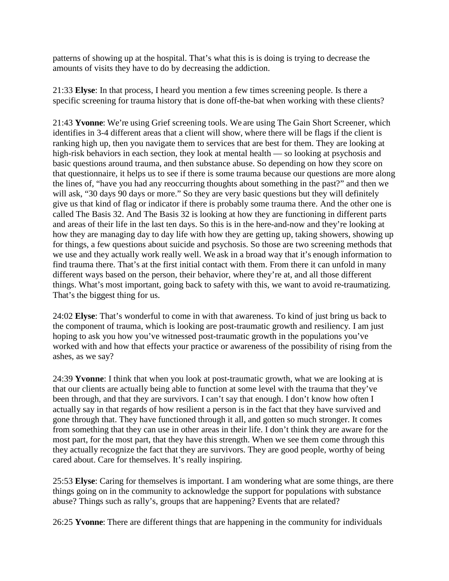patterns of showing up at the hospital. That's what this is is doing is trying to decrease the amounts of visits they have to do by decreasing the addiction.

21:33 **Elyse**: In that process, I heard you mention a few times screening people. Is there a specific screening for trauma history that is done off-the-bat when working with these clients?

21:43 **Yvonne**: We're using Grief screening tools. We are using The Gain Short Screener, which identifies in 3-4 different areas that a client will show, where there will be flags if the client is ranking high up, then you navigate them to services that are best for them. They are looking at high-risk behaviors in each section, they look at mental health — so looking at psychosis and basic questions around trauma, and then substance abuse. So depending on how they score on that questionnaire, it helps us to see if there is some trauma because our questions are more along the lines of, "have you had any reoccurring thoughts about something in the past?" and then we will ask, "30 days 90 days or more." So they are very basic questions but they will definitely give us that kind of flag or indicator if there is probably some trauma there. And the other one is called The Basis 32. And The Basis 32 is looking at how they are functioning in different parts and areas of their life in the last ten days. So this is in the here-and-now and they're looking at how they are managing day to day life with how they are getting up, taking showers, showing up for things, a few questions about suicide and psychosis. So those are two screening methods that we use and they actually work really well. We ask in a broad way that it's enough information to find trauma there. That's at the first initial contact with them. From there it can unfold in many different ways based on the person, their behavior, where they're at, and all those different things. What's most important, going back to safety with this, we want to avoid re-traumatizing. That's the biggest thing for us.

24:02 **Elyse**: That's wonderful to come in with that awareness. To kind of just bring us back to the component of trauma, which is looking are post-traumatic growth and resiliency. I am just hoping to ask you how you've witnessed post-traumatic growth in the populations you've worked with and how that effects your practice or awareness of the possibility of rising from the ashes, as we say?

24:39 **Yvonne**: I think that when you look at post-traumatic growth, what we are looking at is that our clients are actually being able to function at some level with the trauma that they've been through, and that they are survivors. I can't say that enough. I don't know how often I actually say in that regards of how resilient a person is in the fact that they have survived and gone through that. They have functioned through it all, and gotten so much stronger. It comes from something that they can use in other areas in their life. I don't think they are aware for the most part, for the most part, that they have this strength. When we see them come through this they actually recognize the fact that they are survivors. They are good people, worthy of being cared about. Care for themselves. It's really inspiring.

25:53 **Elyse**: Caring for themselves is important. I am wondering what are some things, are there things going on in the community to acknowledge the support for populations with substance abuse? Things such as rally's, groups that are happening? Events that are related?

26:25 **Yvonne**: There are different things that are happening in the community for individuals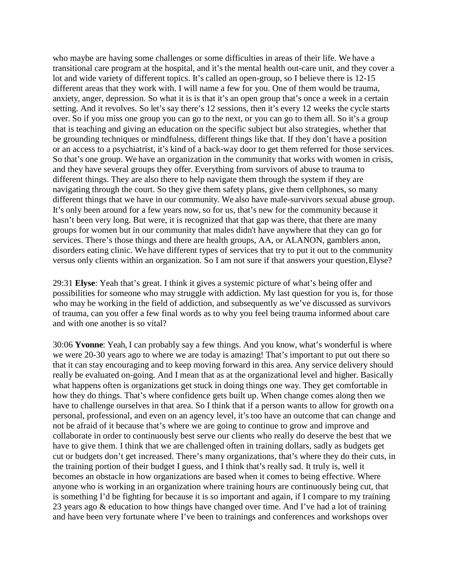who maybe are having some challenges or some difficulties in areas of their life. We have a transitional care program at the hospital, and it's the mental health out-care unit, and they cover a lot and wide variety of different topics. It's called an open-group, so I believe there is 12-15 different areas that they work with. I will name a few for you. One of them would be trauma, anxiety, anger, depression. So what it is is that it's an open group that's once a week in a certain setting. And it revolves. So let's say there's 12 sessions, then it's every 12 weeks the cycle starts over. So if you miss one group you can go to the next, or you can go to them all. So it's a group that is teaching and giving an education on the specific subject but also strategies, whether that be grounding techniques or mindfulness, different things like that. If they don't have a position or an access to a psychiatrist, it's kind of a back-way door to get them referred for those services. So that's one group. We have an organization in the community that works with women in crisis, and they have several groups they offer. Everything from survivors of abuse to trauma to different things. They are also there to help navigate them through the system if they are navigating through the court. So they give them safety plans, give them cellphones, so many different things that we have in our community. We also have male-survivors sexual abuse group. It's only been around for a few years now, so for us, that's new for the community because it hasn't been very long. But were, it is recognized that that gap was there, that there are many groups for women but in our community that males didn't have anywhere that they can go for services. There's those things and there are health groups, AA, or ALANON, gamblers anon, disorders eating clinic. We have different types of services that try to put it out to the community versus only clients within an organization. So I am not sure if that answers your question, Elyse?

29:31 **Elyse**: Yeah that's great. I think it gives a systemic picture of what's being offer and possibilities for someone who may struggle with addiction. My last question for you is, for those who may be working in the field of addiction, and subsequently as we've discussed as survivors of trauma, can you offer a few final words as to why you feel being trauma informed about care and with one another is so vital?

30:06 **Yvonne**: Yeah, I can probably say a few things. And you know, what's wonderful is where we were 20-30 years ago to where we are today is amazing! That's important to put out there so that it can stay encouraging and to keep moving forward in this area. Any service delivery should really be evaluated on-going. And I mean that as at the organizational level and higher. Basically what happens often is organizations get stuck in doing things one way. They get comfortable in how they do things. That's where confidence gets built up. When change comes along then we have to challenge ourselves in that area. So I think that if a person wants to allow for growth on a personal, professional, and even on an agency level, it's too have an outcome that can change and not be afraid of it because that's where we are going to continue to grow and improve and collaborate in order to continuously best serve our clients who really do deserve the best that we have to give them. I think that we are challenged often in training dollars, sadly as budgets get cut or budgets don't get increased. There's many organizations, that's where they do their cuts, in the training portion of their budget I guess, and I think that's really sad. It truly is, well it becomes an obstacle in how organizations are based when it comes to being effective. Where anyone who is working in an organization where training hours are continuously being cut, that is something I'd be fighting for because it is so important and again, if I compare to my training 23 years ago & education to how things have changed over time. And I've had a lot of training and have been very fortunate where I've been to trainings and conferences and workshops over